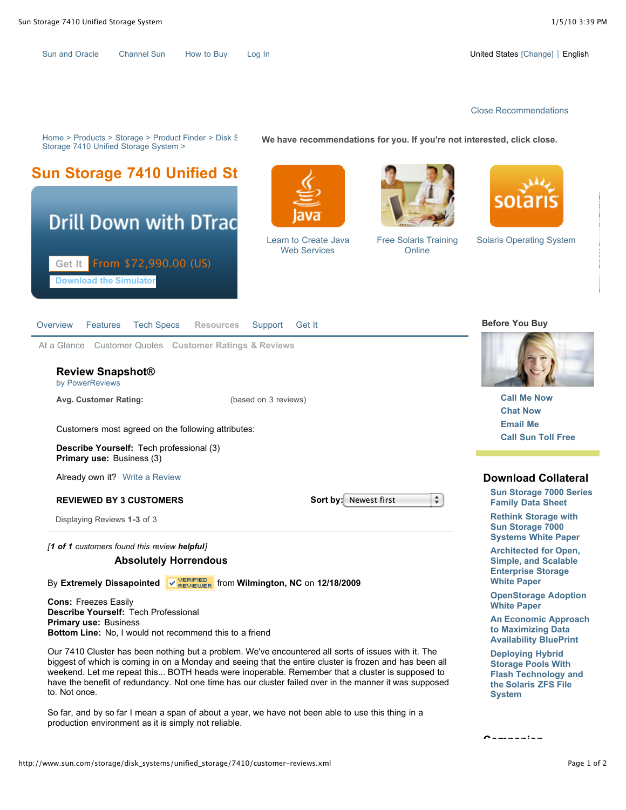| <b>Sun and Oracle</b> | <b>Channel Sun</b> | How to Buy | Log |
|-----------------------|--------------------|------------|-----|
|-----------------------|--------------------|------------|-----|

In Sun Andrew Sun [How to Buy](http://www.sun.com/sales/index.jsp) Louise Change] English

## [Close Recommendations](http://www.sun.com/recommendations/all.jsp)

Home > Products > Storage > Product Finder > Disk Storage > Storage > Sundition Storage > Sundition Storage > Sundition Storage > Sundition Storage > Sundition Storage > Sundition Storage > Sundition Storage > Sundition St Storage 7410 Unified Storage System >

**We have recommendations for you. If you're not interested, click close.**





Learn to Create Java Web Services



[Free Solaris Training](http://c2r-srvcs.sun.com/smile/TrackServlet?src=http%3A%2F%2Fwww.sun.com%2Fstorage%2Fdisk_systems%2Funified_storage%2F7410%2Fcustomer-reviews.xml&vis=%5BCS%5Dv1%7C254A0D6585012423-4000010B200076CF%5BCE%5D&oev=recomId%20021709-23185195%09component%20CAR%09sessionId%20e8d24928-3caa-4e37-ae6f-f6e558f34466%09&redirectUrl=http://www.sun.com/training/solc/getcert.html?intcmp=021709-23185195-CAR) **Online** 



[Solaris Operating System](http://c2r-srvcs.sun.com/smile/TrackServlet?src=http%3A%2F%2Fwww.sun.com%2Fstorage%2Fdisk_systems%2Funified_storage%2F7410%2Fcustomer-reviews.xml&vis=%5BCS%5Dv1%7C254A0D6585012423-4000010B200076CF%5BCE%5D&oev=recomId%20062909-09575591%09component%20CAR%09sessionId%20e8d24928-3caa-4e37-ae6f-f6e558f34466%09&redirectUrl=http://www.sun.com/software/solaris/get.jsp?intcmp=062909-09575591-CAR)

| <b>Tech Specs</b><br>Overview<br>Features                                                                              | <b>Before You Buy</b>                                                                    |                                                                               |
|------------------------------------------------------------------------------------------------------------------------|------------------------------------------------------------------------------------------|-------------------------------------------------------------------------------|
| At a Glance Customer Quotes Customer Ratings & Reviews<br><b>Review Snapshot®</b><br>by PowerReviews                   |                                                                                          |                                                                               |
| Avg. Customer Rating:<br>(based on 3 reviews)                                                                          |                                                                                          | <b>Call Me Now</b>                                                            |
|                                                                                                                        |                                                                                          | <b>Chat Now</b>                                                               |
| Customers most agreed on the following attributes:                                                                     |                                                                                          | <b>Email Me</b>                                                               |
|                                                                                                                        | <b>Call Sun Toll Free</b>                                                                |                                                                               |
| <b>Describe Yourself:</b> Tech professional (3)<br><b>Primary use: Business (3)</b>                                    |                                                                                          |                                                                               |
| Already own it? Write a Review                                                                                         |                                                                                          | <b>Download Collateral</b>                                                    |
| <b>REVIEWED BY 3 CUSTOMERS</b>                                                                                         | ÷<br><b>Sort by:</b> Newest first                                                        | <b>Sun Storage 7000 Series</b><br><b>Family Data Sheet</b>                    |
| Displaying Reviews 1-3 of 3                                                                                            |                                                                                          | <b>Rethink Storage with</b><br>Sun Storage 7000<br><b>Systems White Paper</b> |
| [1 of 1 customers found this review helpful]                                                                           |                                                                                          |                                                                               |
| <b>Absolutely Horrendous</b>                                                                                           | <b>Architected for Open,</b><br><b>Simple, and Scalable</b><br><b>Enterprise Storage</b> |                                                                               |
| $\sqrt{\frac{\text{VERIFID}}{\text{REVIEW E}}}\$ from Wilmington, NC on 12/18/2009<br><b>By Extremely Dissapointed</b> | <b>White Paper</b>                                                                       |                                                                               |
| <b>Cons: Freezes Easily</b><br>Describe Yourself: Tech Professional                                                    | <b>OpenStorage Adoption</b><br><b>White Paper</b>                                        |                                                                               |
| <b>Primary use: Business</b><br><b>Bottom Line:</b> No Lwould not recommend this to a friend                           |                                                                                          | <b>An Economic Approach</b><br>to Maximizing Data                             |

**Bottom Line:** No, I would not recommend this to a friend

Our 7410 Cluster has been nothing but a problem. We've encountered all sorts of issues with it. The biggest of which is coming in on a Monday and seeing that the entire cluster is frozen and has been all weekend. Let me repeat this... BOTH heads were inoperable. Remember that a cluster is supposed to have the benefit of redundancy. Not one time has our cluster failed over in the manner it was supposed to. Not once.

So far, and by so far I mean a span of about a year, we have not been able to use this thing in a production environment as it is simply not reliable.

**Deploying Hybrid Storage Pools With [Flash Technology and](http://wikis.sun.com/display/BluePrints/Deploying+Hybrid+Storage+Pools+With+Flash+Technology+and+the+Solaris+ZFS+File+System) the Solaris ZFS File System**

**Availability BluePrint**

**Companion**